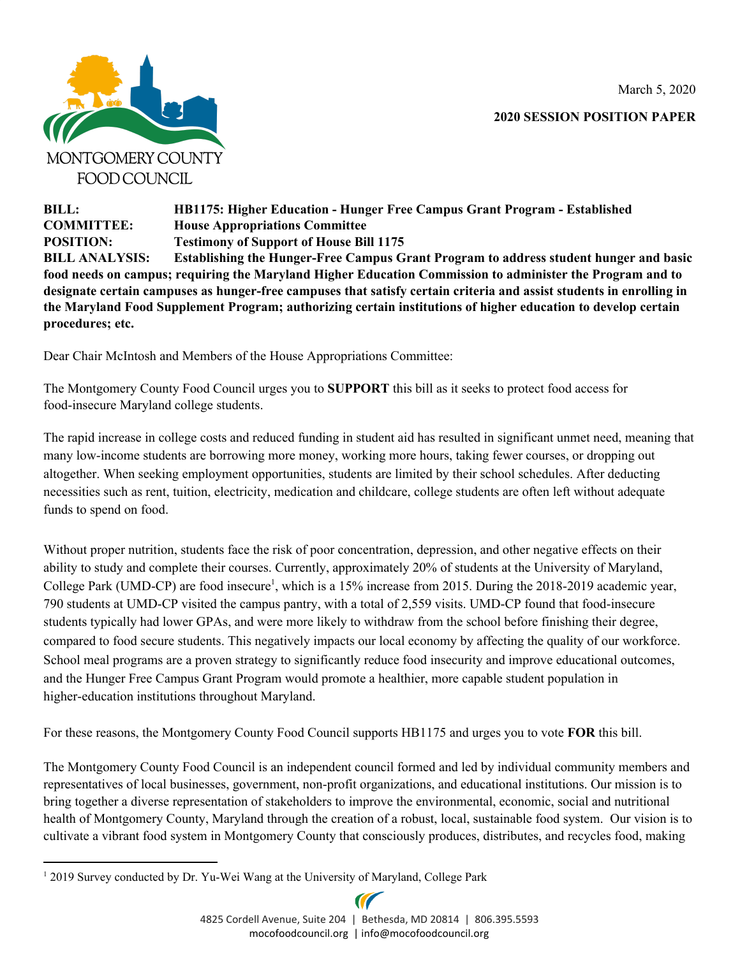March 5, 2020



**2020 SESSION POSITION PAPER**

**BILL: HB1175: Higher Education - Hunger Free Campus Grant Program - Established COMMITTEE: House Appropriations Committee POSITION: Testimony of Support of House Bill 1175 BILL ANALYSIS: Establishing the Hunger-Free Campus Grant Program to address student hunger and basic food needs on campus; requiring the Maryland Higher Education Commission to administer the Program and to** designate certain campuses as hunger-free campuses that satisfy certain criteria and assist students in enrolling in **the Maryland Food Supplement Program; authorizing certain institutions of higher education to develop certain procedures; etc.**

Dear Chair McIntosh and Members of the House Appropriations Committee:

The Montgomery County Food Council urges you to **SUPPORT** this bill as it seeks to protect food access for food-insecure Maryland college students.

The rapid increase in college costs and reduced funding in student aid has resulted in significant unmet need, meaning that many low-income students are borrowing more money, working more hours, taking fewer courses, or dropping out altogether. When seeking employment opportunities, students are limited by their school schedules. After deducting necessities such as rent, tuition, electricity, medication and childcare, college students are often left without adequate funds to spend on food.

Without proper nutrition, students face the risk of poor concentration, depression, and other negative effects on their ability to study and complete their courses. Currently, approximately 20% of students at the University of Maryland, College Park (UMD-CP) are food insecure<sup>1</sup>, which is a 15% increase from 2015. During the 2018-2019 academic year, 790 students at UMD-CP visited the campus pantry, with a total of 2,559 visits. UMD-CP found that food-insecure students typically had lower GPAs, and were more likely to withdraw from the school before finishing their degree, compared to food secure students. This negatively impacts our local economy by affecting the quality of our workforce. School meal programs are a proven strategy to significantly reduce food insecurity and improve educational outcomes, and the Hunger Free Campus Grant Program would promote a healthier, more capable student population in higher-education institutions throughout Maryland.

For these reasons, the Montgomery County Food Council supports HB1175 and urges you to vote **FOR** this bill.

The Montgomery County Food Council is an independent council formed and led by individual community members and representatives of local businesses, government, non-profit organizations, and educational institutions. Our mission is to bring together a diverse representation of stakeholders to improve the environmental, economic, social and nutritional health of Montgomery County, Maryland through the creation of a robust, local, sustainable food system. Our vision is to cultivate a vibrant food system in Montgomery County that consciously produces, distributes, and recycles food, making

<sup>&</sup>lt;sup>1</sup> 2019 Survey conducted by Dr. Yu-Wei Wang at the University of Maryland, College Park